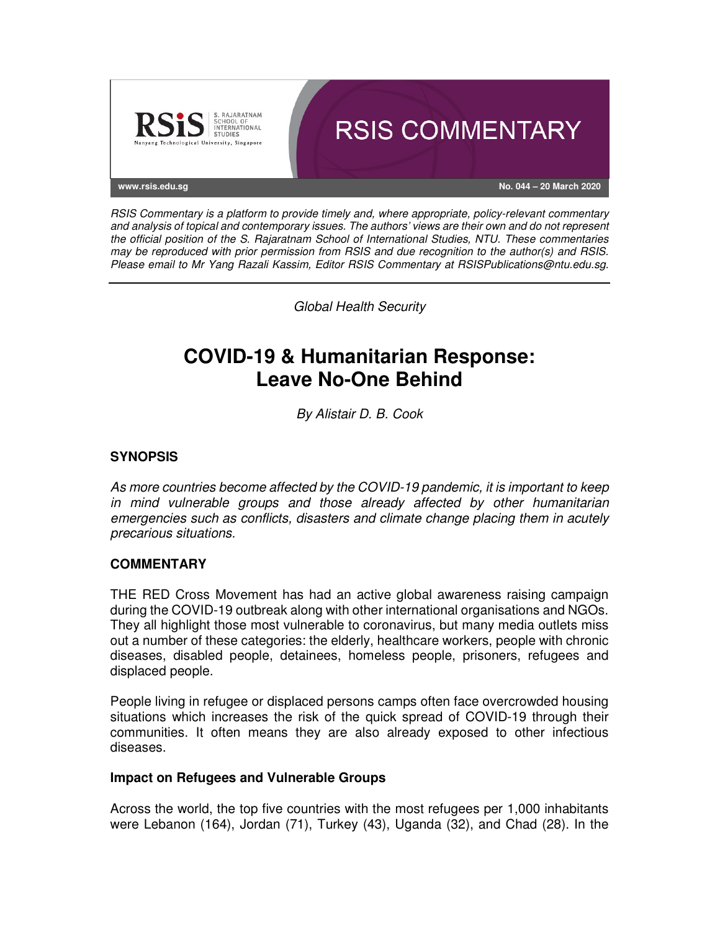

RSIS Commentary is a platform to provide timely and, where appropriate, policy-relevant commentary and analysis of topical and contemporary issues. The authors' views are their own and do not represent the official position of the S. Rajaratnam School of International Studies, NTU. These commentaries may be reproduced with prior permission from RSIS and due recognition to the author(s) and RSIS. Please email to Mr Yang Razali Kassim, Editor RSIS Commentary at RSISPublications@ntu.edu.sg.

Global Health Security

# **COVID-19 & Humanitarian Response: Leave No-One Behind**

By Alistair D. B. Cook

## **SYNOPSIS**

As more countries become affected by the COVID-19 pandemic, it is important to keep in mind vulnerable groups and those already affected by other humanitarian emergencies such as conflicts, disasters and climate change placing them in acutely precarious situations.

## **COMMENTARY**

THE RED Cross Movement has had an active global awareness raising campaign during the COVID-19 outbreak along with other international organisations and NGOs. They all highlight those most vulnerable to coronavirus, but many media outlets miss out a number of these categories: the elderly, healthcare workers, people with chronic diseases, disabled people, detainees, homeless people, prisoners, refugees and displaced people.

People living in refugee or displaced persons camps often face overcrowded housing situations which increases the risk of the quick spread of COVID-19 through their communities. It often means they are also already exposed to other infectious diseases.

#### **Impact on Refugees and Vulnerable Groups**

Across the world, the top five countries with the most refugees per 1,000 inhabitants were Lebanon (164), Jordan (71), Turkey (43), Uganda (32), and Chad (28). In the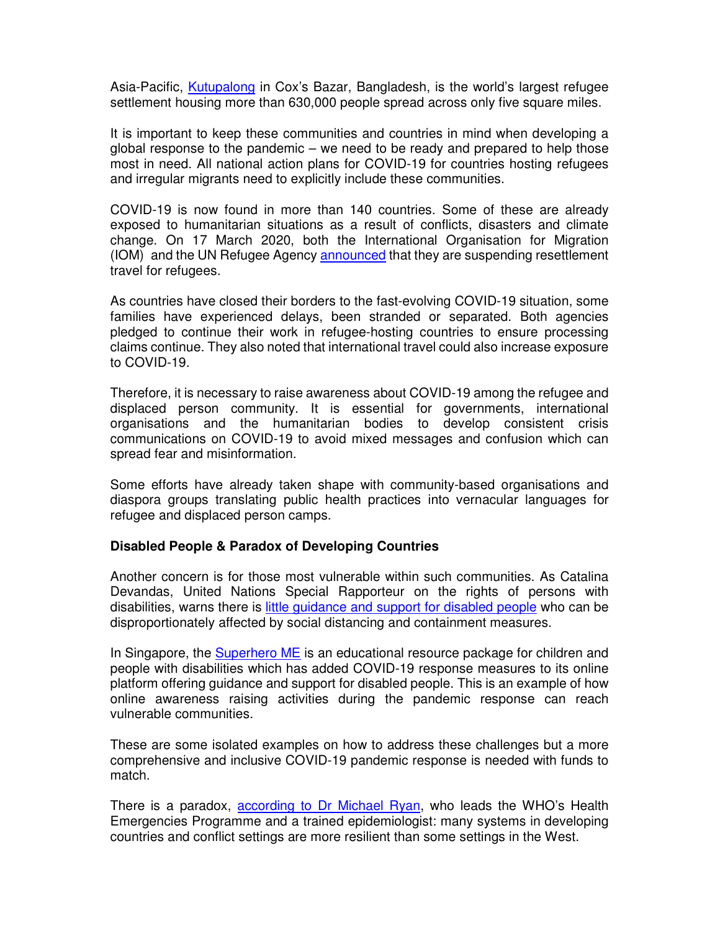Asia-Pacific, Kutupalong in Cox's Bazar, Bangladesh, is the world's largest refugee settlement housing more than 630,000 people spread across only five square miles.

It is important to keep these communities and countries in mind when developing a global response to the pandemic – we need to be ready and prepared to help those most in need. All national action plans for COVID-19 for countries hosting refugees and irregular migrants need to explicitly include these communities.

COVID-19 is now found in more than 140 countries. Some of these are already exposed to humanitarian situations as a result of conflicts, disasters and climate change. On 17 March 2020, both the International Organisation for Migration (IOM) and the UN Refugee Agency announced that they are suspending resettlement travel for refugees.

As countries have closed their borders to the fast-evolving COVID-19 situation, some families have experienced delays, been stranded or separated. Both agencies pledged to continue their work in refugee-hosting countries to ensure processing claims continue. They also noted that international travel could also increase exposure to COVID-19.

Therefore, it is necessary to raise awareness about COVID-19 among the refugee and displaced person community. It is essential for governments, international organisations and the humanitarian bodies to develop consistent crisis communications on COVID-19 to avoid mixed messages and confusion which can spread fear and misinformation.

Some efforts have already taken shape with community-based organisations and diaspora groups translating public health practices into vernacular languages for refugee and displaced person camps.

## **Disabled People & Paradox of Developing Countries**

Another concern is for those most vulnerable within such communities. As Catalina Devandas, United Nations Special Rapporteur on the rights of persons with disabilities, warns there is little guidance and support for disabled people who can be disproportionately affected by social distancing and containment measures.

In Singapore, the **Superhero ME** is an educational resource package for children and people with disabilities which has added COVID-19 response measures to its online platform offering guidance and support for disabled people. This is an example of how online awareness raising activities during the pandemic response can reach vulnerable communities.

These are some isolated examples on how to address these challenges but a more comprehensive and inclusive COVID-19 pandemic response is needed with funds to match.

There is a paradox, according to Dr Michael Ryan, who leads the WHO's Health Emergencies Programme and a trained epidemiologist: many systems in developing countries and conflict settings are more resilient than some settings in the West.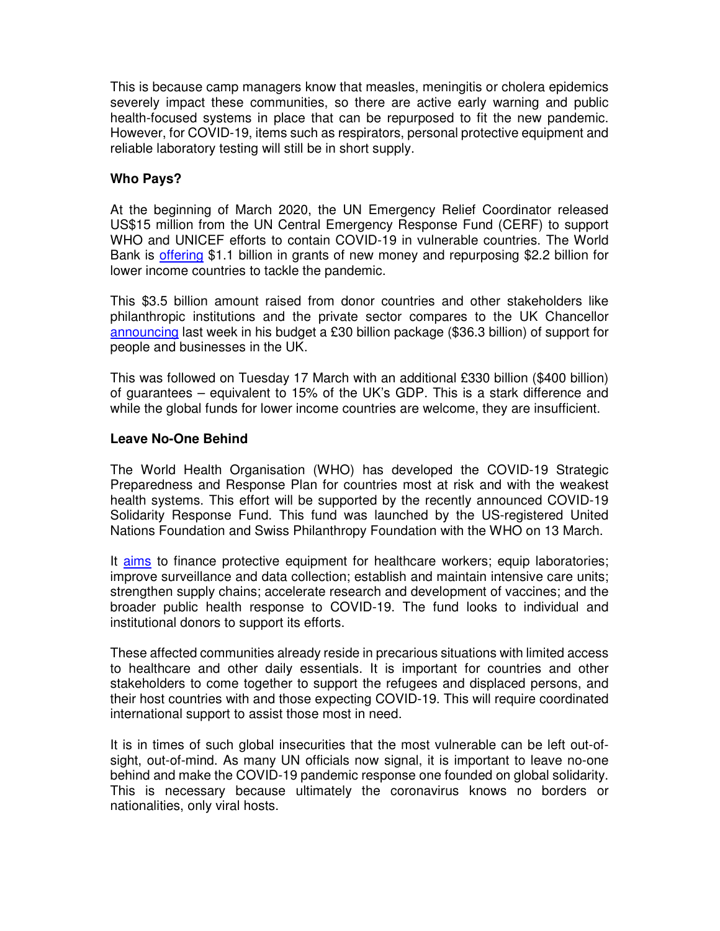This is because camp managers know that measles, meningitis or cholera epidemics severely impact these communities, so there are active early warning and public health-focused systems in place that can be repurposed to fit the new pandemic. However, for COVID-19, items such as respirators, personal protective equipment and reliable laboratory testing will still be in short supply.

## **Who Pays?**

At the beginning of March 2020, the UN Emergency Relief Coordinator released US\$15 million from the UN Central Emergency Response Fund (CERF) to support WHO and UNICEF efforts to contain COVID-19 in vulnerable countries. The World Bank is offering \$1.1 billion in grants of new money and repurposing \$2.2 billion for lower income countries to tackle the pandemic.

This \$3.5 billion amount raised from donor countries and other stakeholders like philanthropic institutions and the private sector compares to the UK Chancellor announcing last week in his budget a £30 billion package (\$36.3 billion) of support for people and businesses in the UK.

This was followed on Tuesday 17 March with an additional £330 billion (\$400 billion) of guarantees – equivalent to 15% of the UK's GDP. This is a stark difference and while the global funds for lower income countries are welcome, they are insufficient.

## **Leave No-One Behind**

The World Health Organisation (WHO) has developed the COVID-19 Strategic Preparedness and Response Plan for countries most at risk and with the weakest health systems. This effort will be supported by the recently announced COVID-19 Solidarity Response Fund. This fund was launched by the US-registered United Nations Foundation and Swiss Philanthropy Foundation with the WHO on 13 March.

It aims to finance protective equipment for healthcare workers; equip laboratories; improve surveillance and data collection; establish and maintain intensive care units; strengthen supply chains; accelerate research and development of vaccines; and the broader public health response to COVID-19. The fund looks to individual and institutional donors to support its efforts.

These affected communities already reside in precarious situations with limited access to healthcare and other daily essentials. It is important for countries and other stakeholders to come together to support the refugees and displaced persons, and their host countries with and those expecting COVID-19. This will require coordinated international support to assist those most in need.

It is in times of such global insecurities that the most vulnerable can be left out-ofsight, out-of-mind. As many UN officials now signal, it is important to leave no-one behind and make the COVID-19 pandemic response one founded on global solidarity. This is necessary because ultimately the coronavirus knows no borders or nationalities, only viral hosts.